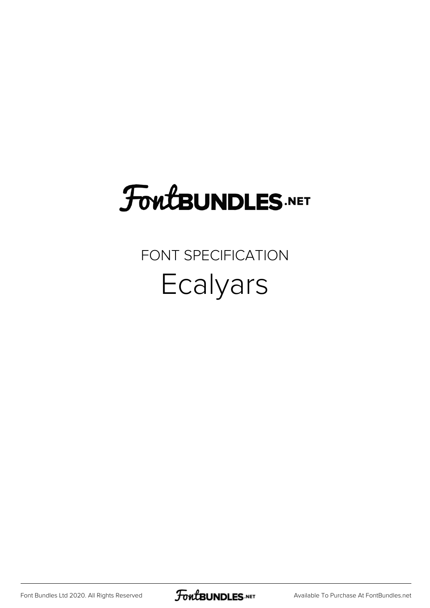## **FoutBUNDLES.NET**

## FONT SPECIFICATION Ecalyars

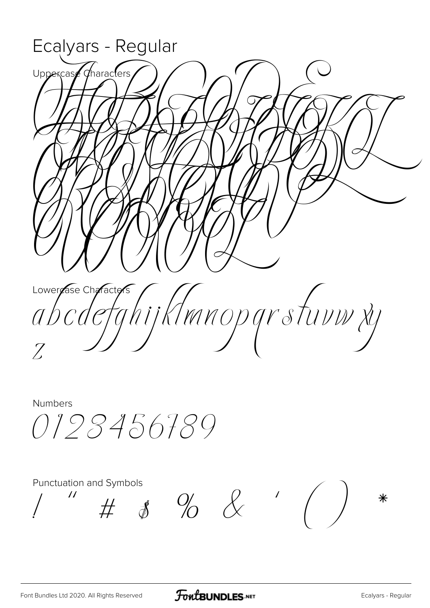Ecalyars - Regular Uppercase Characters Lower ase Charactors Lower ase characters<br>a DC def g hij k (mnop gr s fuvw xy

**Numbers** 

0198456789

Punctuation and Symbols  $\# \ \ \, \text{\AA} \ \ \, \% \ \ \, \text{\AA} \ \ \, \cdot$  $\overline{11}$  $\ast$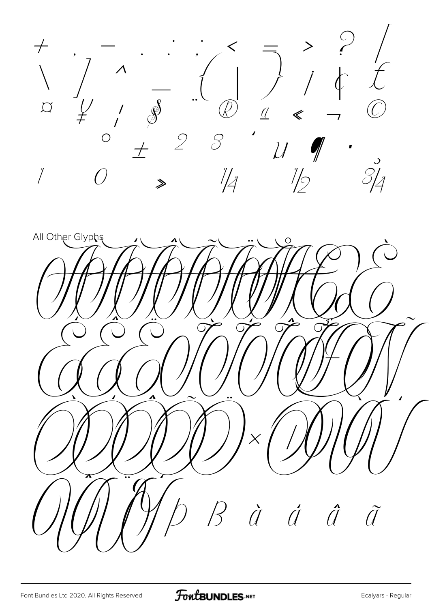

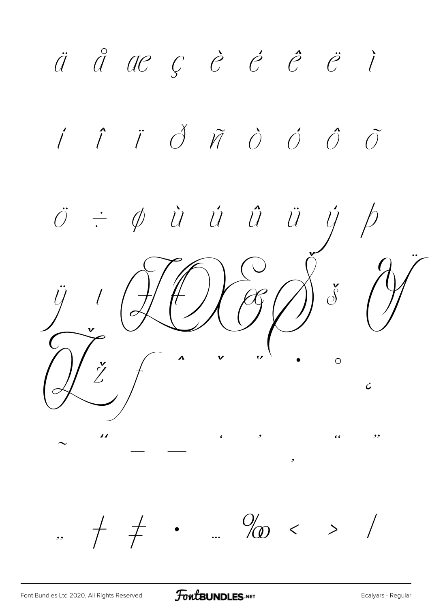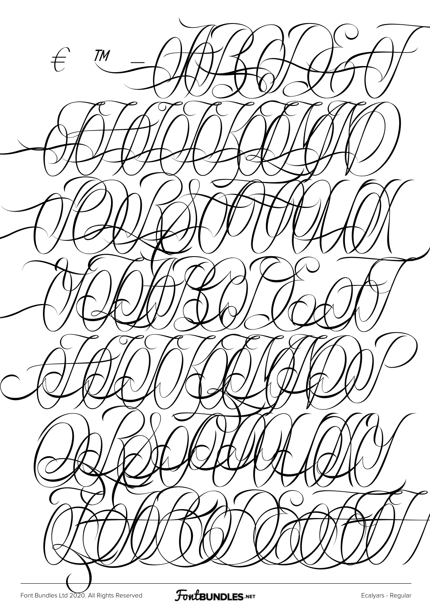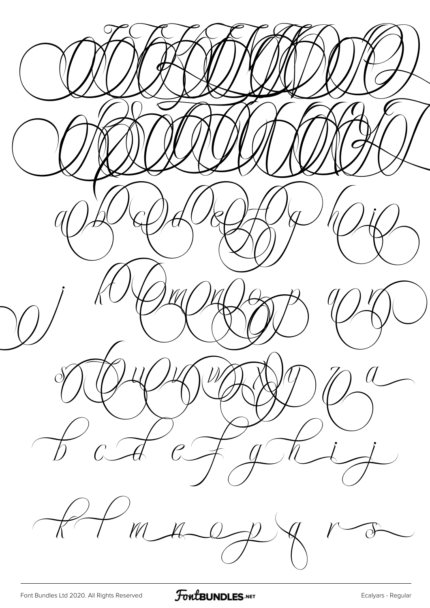